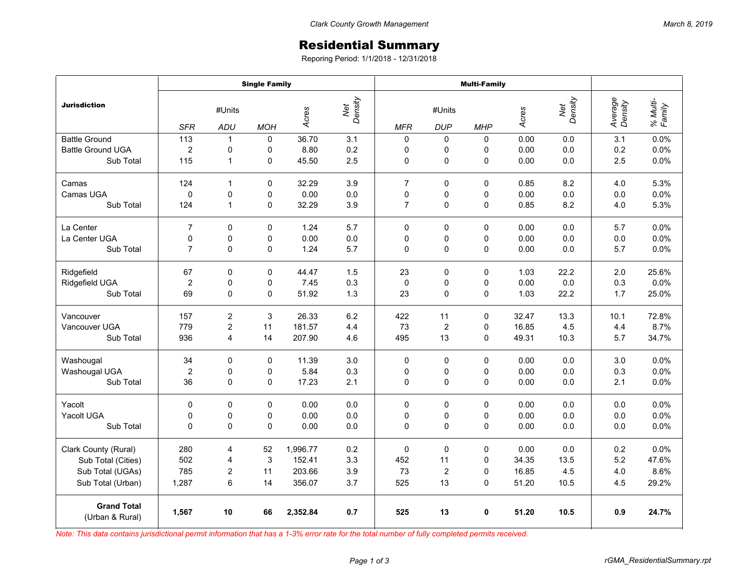## Residential Summary

Reporing Period: 1/1/2018 - 12/31/2018

|                                       | <b>Single Family</b> |                |             |                         |         | <b>Multi-Family</b> |                  |            |       |                |                    |                    |
|---------------------------------------|----------------------|----------------|-------------|-------------------------|---------|---------------------|------------------|------------|-------|----------------|--------------------|--------------------|
| <b>Jurisdiction</b>                   | #Units               |                |             | Net<br>Density<br>Acres |         | #Units              |                  |            | Acres | Net<br>Density | Average<br>Density | % Multi-<br>Family |
|                                       | <b>SFR</b>           | ADU            | <b>MOH</b>  |                         |         | <b>MFR</b>          | <b>DUP</b>       | <b>MHP</b> |       |                |                    |                    |
| <b>Battle Ground</b>                  | 113                  | $\mathbf{1}$   | $\mathbf 0$ | 36.70                   | 3.1     | 0                   | 0                | 0          | 0.00  | 0.0            | 3.1                | 0.0%               |
| <b>Battle Ground UGA</b>              | $\overline{c}$       | 0              | 0           | 8.80                    | 0.2     | 0                   | 0                | 0          | 0.00  | 0.0            | 0.2                | 0.0%               |
| Sub Total                             | 115                  | $\mathbf{1}$   | 0           | 45.50                   | 2.5     | 0                   | 0                | 0          | 0.00  | 0.0            | 2.5                | 0.0%               |
| Camas                                 | 124                  | $\mathbf{1}$   | 0           | 32.29                   | 3.9     | $\overline{7}$      | 0                | $\Omega$   | 0.85  | 8.2            | 4.0                | 5.3%               |
| Camas UGA                             | 0                    | $\mathbf 0$    | 0           | 0.00                    | 0.0     | 0                   | 0                | 0          | 0.00  | 0.0            | 0.0                | 0.0%               |
| Sub Total                             | 124                  | $\mathbf{1}$   | 0           | 32.29                   | 3.9     | $\overline{7}$      | 0                | 0          | 0.85  | 8.2            | 4.0                | 5.3%               |
| La Center                             | $\overline{7}$       | 0              | $\mathbf 0$ | 1.24                    | 5.7     | $\Omega$            | $\mathbf 0$      | 0          | 0.00  | 0.0            | 5.7                | 0.0%               |
| La Center UGA                         | 0                    | 0              | 0           | 0.00                    | 0.0     | 0                   | 0                | 0          | 0.00  | 0.0            | 0.0                | 0.0%               |
| Sub Total                             | $\overline{7}$       | 0              | 0           | 1.24                    | 5.7     | $\Omega$            | $\mathbf 0$      | 0          | 0.00  | 0.0            | 5.7                | 0.0%               |
| Ridgefield                            | 67                   | 0              | 0           | 44.47                   | 1.5     | 23                  | 0                | 0          | 1.03  | 22.2           | 2.0                | 25.6%              |
| Ridgefield UGA                        | $\overline{c}$       | $\mathbf 0$    | 0           | 7.45                    | 0.3     | $\mathbf 0$         | 0                | 0          | 0.00  | 0.0            | 0.3                | 0.0%               |
| Sub Total                             | 69                   | 0              | 0           | 51.92                   | 1.3     | 23                  | 0                | 0          | 1.03  | 22.2           | 1.7                | 25.0%              |
| Vancouver                             | 157                  | $\overline{c}$ | 3           | 26.33                   | 6.2     | 422                 | 11               | $\Omega$   | 32.47 | 13.3           | 10.1               | 72.8%              |
| Vancouver UGA                         | 779                  | 2              | 11          | 181.57                  | 4.4     | 73                  | $\boldsymbol{2}$ | 0          | 16.85 | 4.5            | 4.4                | 8.7%               |
| Sub Total                             | 936                  | 4              | 14          | 207.90                  | 4.6     | 495                 | 13               | 0          | 49.31 | 10.3           | 5.7                | 34.7%              |
| Washougal                             | 34                   | 0              | 0           | 11.39                   | $3.0\,$ | $\Omega$            | 0                | $\Omega$   | 0.00  | 0.0            | 3.0                | 0.0%               |
| Washougal UGA                         | $\overline{c}$       | 0              | 0           | 5.84                    | 0.3     | 0                   | 0                | 0          | 0.00  | 0.0            | 0.3                | 0.0%               |
| Sub Total                             | 36                   | 0              | 0           | 17.23                   | 2.1     | 0                   | $\mathbf 0$      | 0          | 0.00  | 0.0            | 2.1                | 0.0%               |
| Yacolt                                | 0                    | 0              | 0           | 0.00                    | 0.0     | 0                   | $\mathbf 0$      | 0          | 0.00  | 0.0            | 0.0                | 0.0%               |
| Yacolt UGA                            | 0                    | 0              | 0           | 0.00                    | 0.0     | 0                   | 0                | 0          | 0.00  | 0.0            | 0.0                | 0.0%               |
| Sub Total                             | 0                    | $\mathbf 0$    | 0           | 0.00                    | 0.0     | $\Omega$            | 0                | 0          | 0.00  | 0.0            | 0.0                | 0.0%               |
| Clark County (Rural)                  | 280                  | 4              | 52          | 1,996.77                | 0.2     | $\Omega$            | $\Omega$         | 0          | 0.00  | 0.0            | 0.2                | 0.0%               |
| Sub Total (Cities)                    | 502                  | 4              | 3           | 152.41                  | 3.3     | 452                 | 11               | $\Omega$   | 34.35 | 13.5           | 5.2                | 47.6%              |
| Sub Total (UGAs)                      | 785                  | 2              | 11          | 203.66                  | 3.9     | 73                  | $\boldsymbol{2}$ | 0          | 16.85 | 4.5            | 4.0                | 8.6%               |
| Sub Total (Urban)                     | 1,287                | 6              | 14          | 356.07                  | 3.7     | 525                 | 13               | $\Omega$   | 51.20 | 10.5           | 4.5                | 29.2%              |
| <b>Grand Total</b><br>(Urban & Rural) | 1,567                | 10             | 66          | 2,352.84                | 0.7     | 525                 | 13               | 0          | 51.20 | 10.5           | 0.9                | 24.7%              |

*Note: This data contains jurisdictional permit information that has a 1-3% error rate for the total number of fully completed permits received.*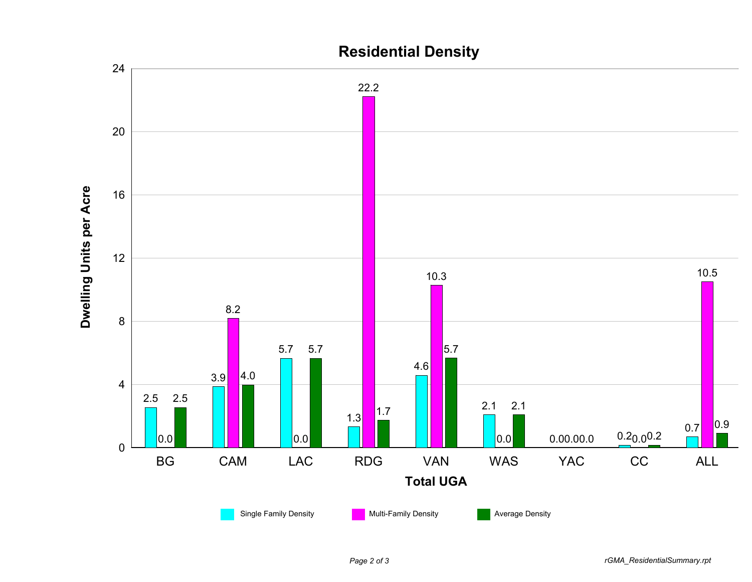

## *Page 2 of 3 rGMA\_ResidentialSummary.rpt*